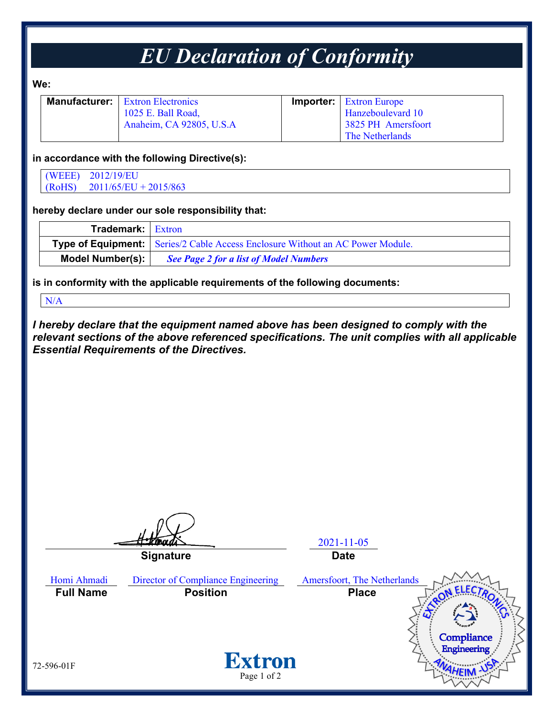## *EU Declaration of Conformity*

**We:**

| <b>Manufacturer:</b> Extron Electronics | <b>Importer:</b> Extron Europe |
|-----------------------------------------|--------------------------------|
| 1025 E. Ball Road,                      | Hanzeboulevard 10              |
| Anaheim, CA 92805, U.S.A                | 3825 PH Amersfoort             |
|                                         | <b>The Netherlands</b>         |

#### **in accordance with the following Directive(s):**

(WEEE) 2012/19/EU (RoHS) 2011/65/EU + 2015/863

### **hereby declare under our sole responsibility that:**

| <b>Trademark:</b> Extron |                                                                                       |
|--------------------------|---------------------------------------------------------------------------------------|
|                          | <b>Type of Equipment:</b> Series/2 Cable Access Enclosure Without an AC Power Module. |
| <b>Model Number(s):</b>  | <b>See Page 2 for a list of Model Numbers</b>                                         |

**is in conformity with the applicable requirements of the following documents:**

N/A

*I hereby declare that the equipment named above has been designed to comply with the relevant sections of the above referenced specifications. The unit complies with all applicable Essential Requirements of the Directives.*

2021-11-05 **Signature Date** Homi Ahmadi Director of Compliance Engineering Amersfoort, The Netherlands **Full Name Position Place**Compliance Engineering **Extron** 72-596-01F Page 1 of 2